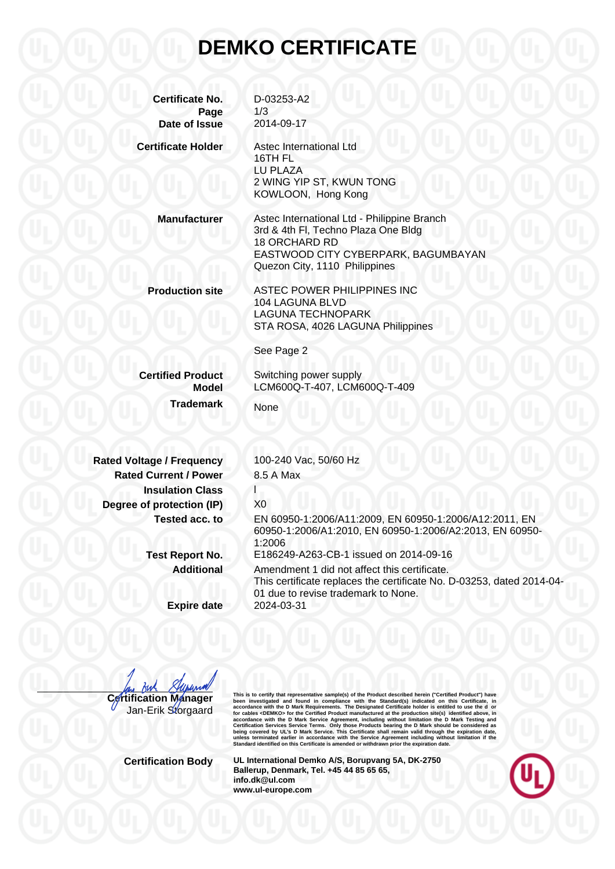## **DEMKO CERTIFICATE**

**Certificate No.** D-03253-A2 **Page** 1/3 **Date of Issue** 2014-09-17 **Certificate Holder** Astec International Ltd 16TH FL LU PLAZA 2 WING YIP ST, KWUN TONG KOWLOON, Hong Kong **Manufacturer** Astec International Ltd - Philippine Branch 3rd & 4th Fl, Techno Plaza One Bldg 18 ORCHARD RD EASTWOOD CITY CYBERPARK, BAGUMBAYAN Quezon City, 1110 Philippines **Production site** ASTEC POWER PHILIPPINES INC 104 LAGUNA BLVD LAGUNA TECHNOPARK STA ROSA, 4026 LAGUNA Philippines See Page 2 **Certified Product** Switching power supply **Model** LCM600Q-T-407, LCM600Q-T-409 **Trademark** None **Rated Voltage / Frequency** 100-240 Vac, 50/60 Hz **Rated Current / Power** 8.5 A Max **Insulation Class Degree of protection (IP)** X0 **Tested acc. to** EN 60950-1:2006/A11:2009, EN 60950-1:2006/A12:2011, EN 60950-1:2006/A1:2010, EN 60950-1:2006/A2:2013, EN 60950- 1:2006 **Test Report No.** E186249-A263-CB-1 issued on 2014-09-16 **Additional** Amendment 1 did not affect this certificate. This certificate replaces the certificate No. D-03253, dated 2014-04- 01 due to revise trademark to None. **Expire date** 2024-03-31

**Certification Manager**

Jan-Erik Storgaard

This is to certify that representative sample(s) of the Product described herein ("Certifical Product") have<br>been investigated and found in compliance with the Standard(s) indicated on this Certificate, in<br>accordance with

**Certification Body UL International Demko A/S, Borupvang 5A, DK-2750 Ballerup, Denmark, Tel. +45 44 85 65 65, info.dk@ul.com www.ul-europe.com**

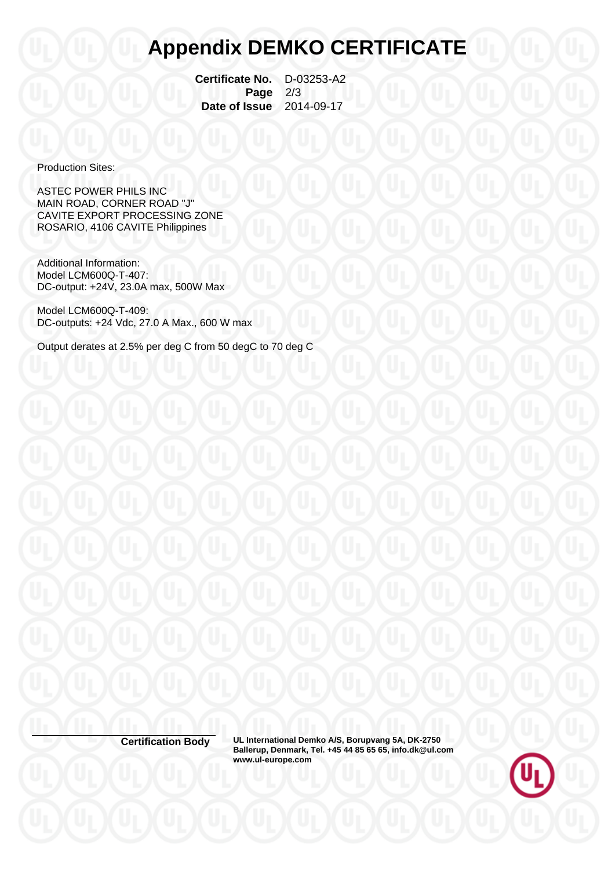## **Appendix DEMKO CERTIFICATE**

 **Certificate No.** D-03253-A2  **Page** 2/3  **Date of Issue** 2014-09-17

Production Sites:

ASTEC POWER PHILS INC MAIN ROAD, CORNER ROAD "J" CAVITE EXPORT PROCESSING ZONE ROSARIO, 4106 CAVITE Philippines

Additional Information: Model LCM600Q-T-407: DC-output: +24V, 23.0A max, 500W Max

Model LCM600Q-T-409: DC-outputs: +24 Vdc, 27.0 A Max., 600 W max

Output derates at 2.5% per deg C from 50 degC to 70 deg C

**Certification Body UL International Demko A/S, Borupvang 5A, DK-2750 Ballerup, Denmark, Tel. +45 44 85 65 65, info.dk@ul.com www.ul-europe.com**